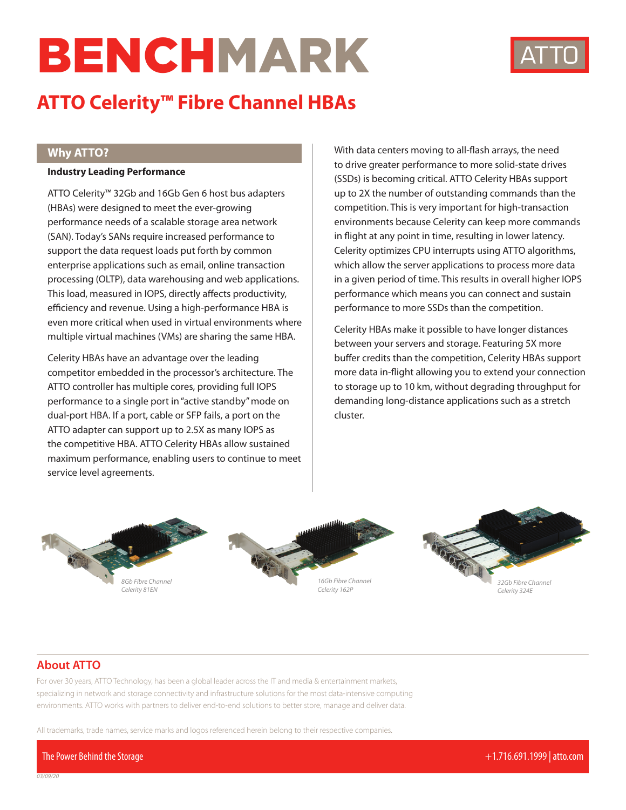# BENCHMARK



# **ATTO Celerity™ Fibre Channel HBAs**

### **Why ATTO?**

#### **Industry Leading Performance**

ATTO Celerity™ 32Gb and 16Gb Gen 6 host bus adapters (HBAs) were designed to meet the ever-growing performance needs of a scalable storage area network (SAN). Today's SANs require increased performance to support the data request loads put forth by common enterprise applications such as email, online transaction processing (OLTP), data warehousing and web applications. This load, measured in IOPS, directly affects productivity, efficiency and revenue. Using a high-performance HBA is even more critical when used in virtual environments where multiple virtual machines (VMs) are sharing the same HBA.

Celerity HBAs have an advantage over the leading competitor embedded in the processor's architecture. The ATTO controller has multiple cores, providing full IOPS performance to a single port in "active standby" mode on dual-port HBA. If a port, cable or SFP fails, a port on the ATTO adapter can support up to 2.5X as many IOPS as the competitive HBA. ATTO Celerity HBAs allow sustained maximum performance, enabling users to continue to meet service level agreements.

With data centers moving to all-flash arrays, the need to drive greater performance to more solid-state drives (SSDs) is becoming critical. ATTO Celerity HBAs support up to 2X the number of outstanding commands than the competition. This is very important for high-transaction environments because Celerity can keep more commands in flight at any point in time, resulting in lower latency. Celerity optimizes CPU interrupts using ATTO algorithms, which allow the server applications to process more data in a given period of time. This results in overall higher IOPS performance which means you can connect and sustain performance to more SSDs than the competition.

Celerity HBAs make it possible to have longer distances between your servers and storage. Featuring 5X more buffer credits than the competition, Celerity HBAs support more data in-flight allowing you to extend your connection to storage up to 10 km, without degrading throughput for demanding long-distance applications such as a stretch cluster.



## **About ATTO**

*03/09/20*

For over 30 years, ATTO Technology, has been a global leader across the IT and media & entertainment markets, specializing in network and storage connectivity and infrastructure solutions for the most data-intensive computing environments. ATTO works with partners to deliver end-to-end solutions to better store, manage and deliver data.

All trademarks, trade names, service marks and logos referenced herein belong to their respective companies.

The Power Behind the Storage +1.716.691.1999 | atto.com